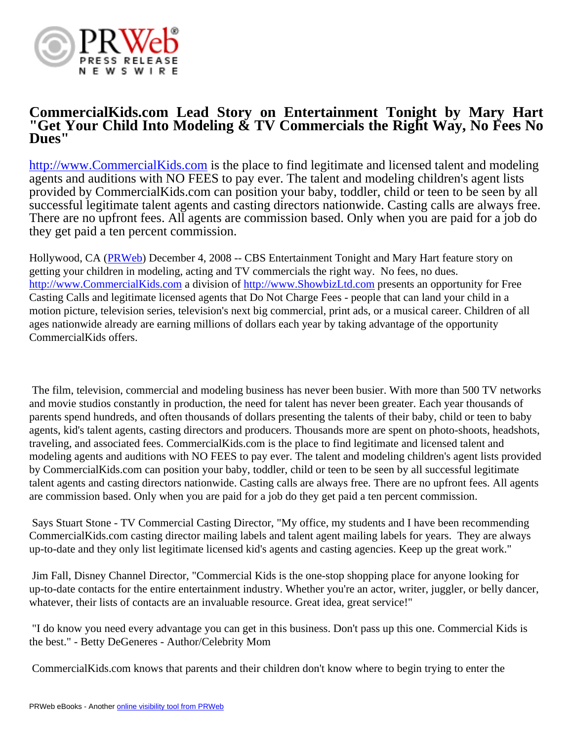

## **CommercialKids.com Lead Story on Entertainment Tonight by Mary Hart "Get Your Child Into Modeling & TV Commercials the Right Way, No Fees No Dues"**

<http://www.CommercialKids.com>is the place to find legitimate and licensed talent and modeling agents and auditions with NO FEES to pay ever. The talent and modeling children's agent lists provided by CommercialKids.com can position your baby, toddler, child or teen to be seen by all successful legitimate talent agents and casting directors nationwide. Casting calls are always free. There are no upfront fees. All agents are commission based. Only when you are paid for a job do they get paid a ten percent commission.

Hollywood, CA ([PRWeb](http://www.prweb.com)) December 4, 2008 -- CBS Entertainment Tonight and Mary Hart feature story on getting your children in modeling, acting and TV commercials the right way. No fees, no dues. <http://www.CommercialKids.com>a division of <http://www.ShowbizLtd.com>presents an opportunity for Free Casting Calls and legitimate licensed agents that Do Not Charge Fees - people that can land your child in a motion picture, television series, television's next big commercial, print ads, or a musical career. Children of all ages nationwide already are earning millions of dollars each year by taking advantage of the opportunity CommercialKids offers.

 The film, television, commercial and modeling business has never been busier. With more than 500 TV networks and movie studios constantly in production, the need for talent has never been greater. Each year thousands of parents spend hundreds, and often thousands of dollars presenting the talents of their baby, child or teen to baby agents, kid's talent agents, casting directors and producers. Thousands more are spent on photo-shoots, headshots, traveling, and associated fees. CommercialKids.com is the place to find legitimate and licensed talent and modeling agents and auditions with NO FEES to pay ever. The talent and modeling children's agent lists provided by CommercialKids.com can position your baby, toddler, child or teen to be seen by all successful legitimate talent agents and casting directors nationwide. Casting calls are always free. There are no upfront fees. All agents are commission based. Only when you are paid for a job do they get paid a ten percent commission.

 Says Stuart Stone - TV Commercial Casting Director, "My office, my students and I have been recommending CommercialKids.com casting director mailing labels and talent agent mailing labels for years. They are always up-to-date and they only list legitimate licensed kid's agents and casting agencies. Keep up the great work."

 Jim Fall, Disney Channel Director, "Commercial Kids is the one-stop shopping place for anyone looking for up-to-date contacts for the entire entertainment industry. Whether you're an actor, writer, juggler, or belly dancer, whatever, their lists of contacts are an invaluable resource. Great idea, great service!"

 "I do know you need every advantage you can get in this business. Don't pass up this one. Commercial Kids is the best." - Betty DeGeneres - Author/Celebrity Mom

CommercialKids.com knows that parents and their children don't know where to begin trying to enter the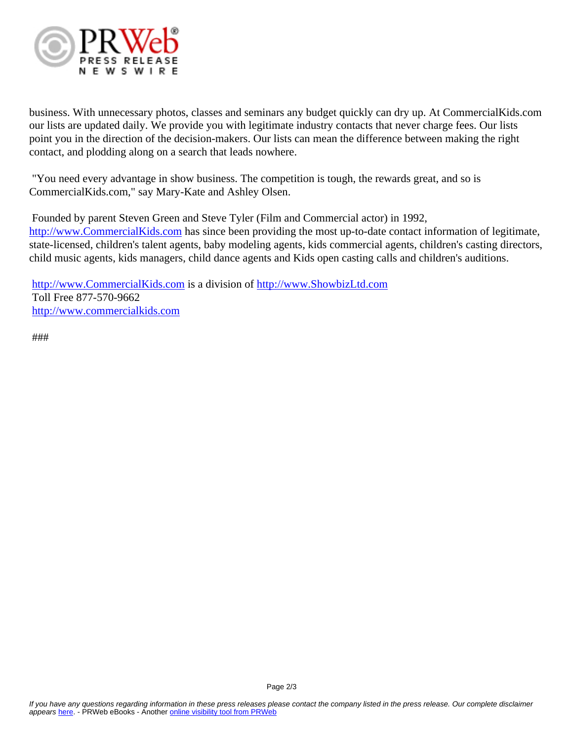

business. With unnecessary photos, classes and seminars any budget quickly can dry up. At CommercialKids.com our lists are updated daily. We provide you with legitimate industry contacts that never charge fees. Our lists point you in the direction of the decision-makers. Our lists can mean the difference between making the right contact, and plodding along on a search that leads nowhere.

 "You need every advantage in show business. The competition is tough, the rewards great, and so is CommercialKids.com," say Mary-Kate and Ashley Olsen.

 Founded by parent Steven Green and Steve Tyler (Film and Commercial actor) in 1992, <http://www.CommercialKids.com>has since been providing the most up-to-date contact information of legitimate, state-licensed, children's talent agents, baby modeling agents, kids commercial agents, children's casting directors, child music agents, kids managers, child dance agents and Kids open casting calls and children's auditions.

<http://www.CommercialKids.com>is a division of <http://www.ShowbizLtd.com> Toll Free 877-570-9662 <http://www.commercialkids.com>

###